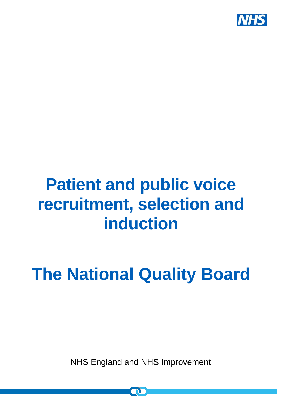

## **Patient and public voice recruitment, selection and induction**

# **The National Quality Board**

NHS England and NHS Improvement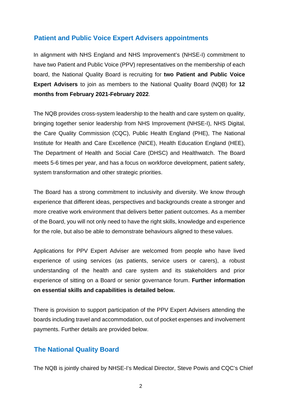## **Patient and Public Voice Expert Advisers appointments**

In alignment with NHS England and NHS Improvement's (NHSE-I) commitment to have two Patient and Public Voice (PPV) representatives on the membership of each board, the National Quality Board is recruiting for **two Patient and Public Voice Expert Advisers** to join as members to the National Quality Board (NQB) for **12 months from February 2021-February 2022**.

The NQB provides cross-system leadership to the health and care system on quality, bringing together senior leadership from NHS Improvement (NHSE-I), NHS Digital, the Care Quality Commission (CQC), Public Health England (PHE), The National Institute for Health and Care Excellence (NICE), Health Education England (HEE), The Department of Health and Social Care (DHSC) and Healthwatch. The Board meets 5-6 times per year, and has a focus on workforce development, patient safety, system transformation and other strategic priorities.

The Board has a strong commitment to inclusivity and diversity. We know through experience that different ideas, perspectives and backgrounds create a stronger and more creative work environment that delivers better patient outcomes. As a member of the Board, you will not only need to have the right skills, knowledge and experience for the role, but also be able to demonstrate behaviours aligned to these values.

Applications for PPV Expert Adviser are welcomed from people who have lived experience of using services (as patients, service users or carers), a robust understanding of the health and care system and its stakeholders and prior experience of sitting on a Board or senior governance forum. **Further information on essential skills and capabilities is detailed below.**

There is provision to support participation of the PPV Expert Advisers attending the boards including travel and accommodation, out of pocket expenses and involvement payments. Further details are provided below.

## **The National Quality Board**

The NQB is jointly chaired by NHSE-I's Medical Director, Steve Powis and CQC's Chief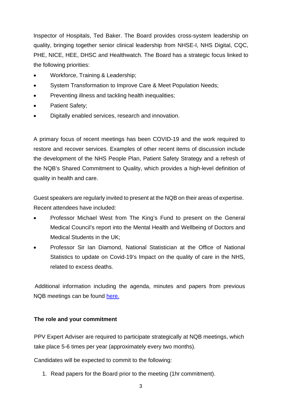Inspector of Hospitals, Ted Baker. The Board provides cross-system leadership on quality, bringing together senior clinical leadership from NHSE-I, NHS Digital, CQC, PHE, NICE, HEE, DHSC and Healthwatch. The Board has a strategic focus linked to the following priorities:

- Workforce, Training & Leadership;
- System Transformation to Improve Care & Meet Population Needs;
- Preventing illness and tackling health inequalities;
- Patient Safety;
- Digitally enabled services, research and innovation.

A primary focus of recent meetings has been COVID-19 and the work required to restore and recover services. Examples of other recent items of discussion include the development of the NHS People Plan, Patient Safety Strategy and a refresh of the NQB's Shared Commitment to Quality, which provides a high-level definition of quality in health and care.

Guest speakers are regularly invited to present at the NQB on their areas of expertise. Recent attendees have included:

- Professor Michael West from The King's Fund to present on the General Medical Council's report into the Mental Health and Wellbeing of Doctors and Medical Students in the UK;
- Professor Sir Ian Diamond, National Statistician at the Office of National Statistics to update on Covid-19's Impact on the quality of care in the NHS, related to excess deaths.

 Additional information including the agenda, minutes and papers from previous NQB meetings can be found [here.](https://www.england.nhs.uk/ourwork/part-rel/nqb/)

## **The role and your commitment**

PPV Expert Adviser are required to participate strategically at NQB meetings, which take place 5-6 times per year (approximately every two months).

Candidates will be expected to commit to the following:

1. Read papers for the Board prior to the meeting (1hr commitment).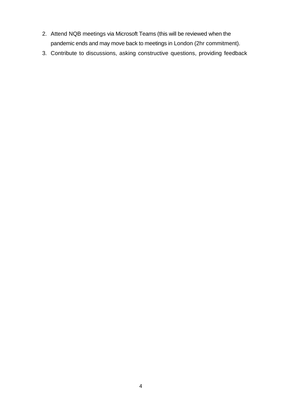- 2. Attend NQB meetings via Microsoft Teams (this will be reviewed when the pandemic ends and may move back to meetings in London (2hr commitment).
- 3. Contribute to discussions, asking constructive questions, providing feedback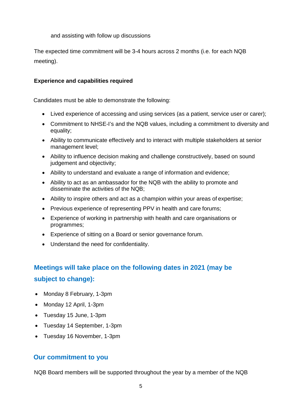and assisting with follow up discussions

The expected time commitment will be 3-4 hours across 2 months (i.e. for each NQB meeting).

#### **Experience and capabilities required**

Candidates must be able to demonstrate the following:

- Lived experience of accessing and using services (as a patient, service user or carer);
- Commitment to NHSE-I's and the NQB values, including a commitment to diversity and equality;
- Ability to communicate effectively and to interact with multiple stakeholders at senior management level;
- Ability to influence decision making and challenge constructively, based on sound judgement and objectivity;
- Ability to understand and evaluate a range of information and evidence;
- Ability to act as an ambassador for the NQB with the ability to promote and disseminate the activities of the NQB;
- Ability to inspire others and act as a champion within your areas of expertise;
- Previous experience of representing PPV in health and care forums;
- Experience of working in partnership with health and care organisations or programmes;
- Experience of sitting on a Board or senior governance forum.
- Understand the need for confidentiality.

## **Meetings will take place on the following dates in 2021 (may be subject to change):**

- Monday 8 February, 1-3pm
- Monday 12 April, 1-3pm
- Tuesday 15 June, 1-3pm
- Tuesday 14 September, 1-3pm
- Tuesday 16 November, 1-3pm

## **Our commitment to you**

NQB Board members will be supported throughout the year by a member of the NQB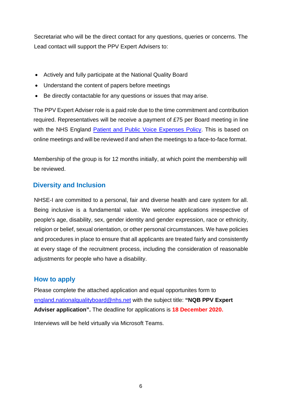Secretariat who will be the direct contact for any questions, queries or concerns. The Lead contact will support the PPV Expert Advisers to:

- Actively and fully participate at the National Quality Board
- Understand the content of papers before meetings
- Be directly contactable for any questions or issues that may arise.

The PPV Expert Adviser role is a paid role due to the time commitment and contribution required. Representatives will be receive a payment of £75 per Board meeting in line with the NHS England [Patient and Public Voice Expenses Policy.](https://www.england.nhs.uk/publication/working-with-our-patient-and-public-voice-partners-reimbursing-expenses-and-paying-involvement-payments/) This is based on online meetings and will be reviewed if and when the meetings to a face-to-face format.

Membership of the group is for 12 months initially, at which point the membership will be reviewed.

## **Diversity and Inclusion**

NHSE-I are committed to a personal, fair and diverse health and care system for all. Being inclusive is a fundamental value. We welcome applications irrespective of people's age, disability, sex, gender identity and gender expression, race or ethnicity, religion or belief, sexual orientation, or other personal circumstances. We have policies and procedures in place to ensure that all applicants are treated fairly and consistently at every stage of the recruitment process, including the consideration of reasonable adjustments for people who have a disability.

## **How to apply**

Please complete the attached application [and equal opportunites form to](mailto:england.nationalqualityboard@nhs.net) [england.nationalqualityboard@nhs.net](mailto:england.nationalqualityboard@nhs.net) with the subject title: **"NQB PPV Expert Adviser application".** The deadline for applications is **18 December 2020.**

Interviews will be held virtually via Microsoft Teams.